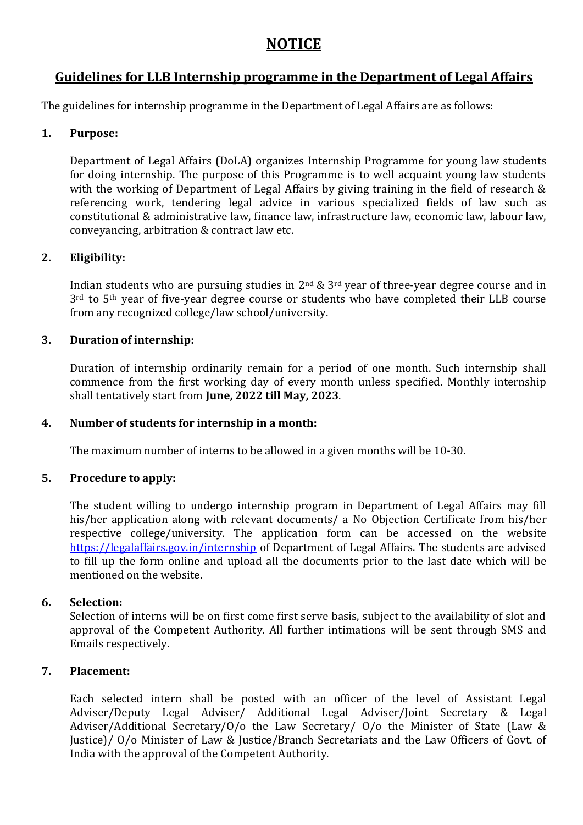# **NOTICE**

# **Guidelines for LLB Internship programme in the Department of Legal Affairs**

The guidelines for internship programme in the Department of Legal Affairs are as follows:

# **1. Purpose:**

Department of Legal Affairs (DoLA) organizes Internship Programme for young law students for doing internship. The purpose of this Programme is to well acquaint young law students with the working of Department of Legal Affairs by giving training in the field of research & referencing work, tendering legal advice in various specialized fields of law such as constitutional & administrative law, finance law, infrastructure law, economic law, labour law, conveyancing, arbitration & contract law etc.

# **2. Eligibility:**

Indian students who are pursuing studies in  $2<sup>nd</sup>$  &  $3<sup>rd</sup>$  year of three-year degree course and in 3<sup>rd</sup> to 5<sup>th</sup> year of five-year degree course or students who have completed their LLB course from any recognized college/law school/university.

# **3. Duration of internship:**

Duration of internship ordinarily remain for a period of one month. Such internship shall commence from the first working day of every month unless specified. Monthly internship shall tentatively start from **June, 2022 till May, 2023**.

# **4. Number of students for internship in a month:**

The maximum number of interns to be allowed in a given months will be 10-30.

# **5. Procedure to apply:**

The student willing to undergo internship program in Department of Legal Affairs may fill his/her application along with relevant documents/ a No Objection Certificate from his/her respective college/university. The application form can be accessed on the website <https://legalaffairs.gov.in/internship> of Department of Legal Affairs. The students are advised to fill up the form online and upload all the documents prior to the last date which will be mentioned on the website.

# **6. Selection:**

Selection of interns will be on first come first serve basis, subject to the availability of slot and approval of the Competent Authority. All further intimations will be sent through SMS and Emails respectively.

# **7. Placement:**

Each selected intern shall be posted with an officer of the level of Assistant Legal Adviser/Deputy Legal Adviser/ Additional Legal Adviser/Joint Secretary & Legal Adviser/Additional Secretary/O/o the Law Secretary/ O/o the Minister of State (Law & Justice)/ O/o Minister of Law & Justice/Branch Secretariats and the Law Officers of Govt. of India with the approval of the Competent Authority.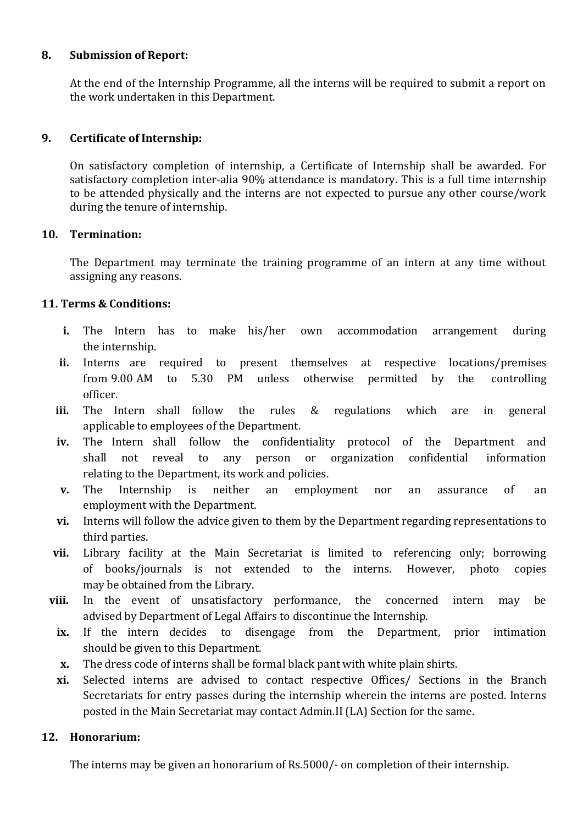#### **8. Submission of Report:**

At the end of the Internship Programme, all the interns will be required to submit a report on the work undertaken in this Department.

#### **9. Certificate of Internship:**

On satisfactory completion of internship, a Certificate of Internship shall be awarded. For satisfactory completion inter-alia 90% attendance is mandatory. This is a full time internship to be attended physically and the interns are not expected to pursue any other course/work during the tenure of internship.

#### **10. Termination:**

The Department may terminate the training programme of an intern at any time without assigning any reasons.

# **11. Terms & Conditions:**

- **i.** The Intern has to make his/her own accommodation arrangement during the internship.
- **ii.** Interns are required to present themselves at respective locations/premises from 9.00 AM to 5.30 PM unless otherwise permitted by the controlling officer.
- **iii.** The Intern shall follow the rules & regulations which are in general applicable to employees of the Department.
- **iv.** The Intern shall follow the confidentiality protocol of the Department and shall not reveal to any person or organization confidential information relating to the Department, its work and policies.
- **v.** The Internship is neither an employment nor an assurance of an employment with the Department.
- **vi.** Interns will follow the advice given to them by the Department regarding representations to third parties.
- **vii.** Library facility at the Main Secretariat is limited to referencing only; borrowing of books/journals is not extended to the interns. However, photo copies may be obtained from the Library.
- **viii.** In the event of unsatisfactory performance, the concerned intern may be advised by Department of Legal Affairs to discontinue the Internship.
	- **ix.** If the intern decides to disengage from the Department, prior intimation should be given to this Department.
	- **x.** The dress code of interns shall be formal black pant with white plain shirts.
	- **xi.** Selected interns are advised to contact respective Offices/ Sections in the Branch Secretariats for entry passes during the internship wherein the interns are posted. Interns posted in the Main Secretariat may contact Admin.II (LA) Section for the same.

# **12. Honorarium:**

The interns may be given an honorarium of Rs.5000/- on completion of their internship.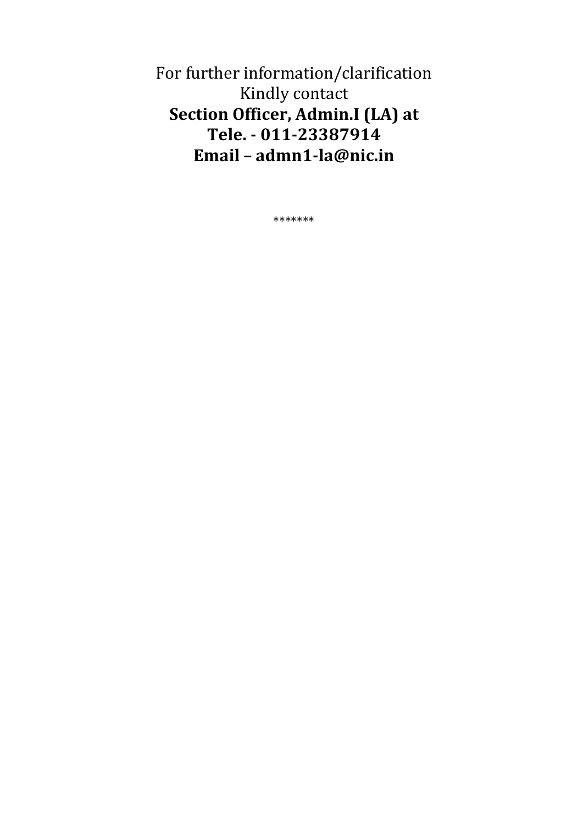For further information/clarification Kindly contact Section Officer, Admin.I (LA) at Tele. - 011-23387914 Email - admn1-la@nic.in

\*\*\*\*\*\*\*